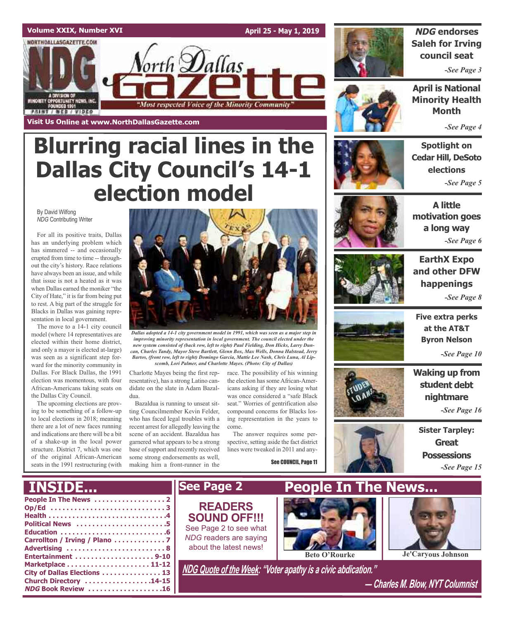# **Volume XXIX, Number XVI**

NORTHDALLASGAZETTE.COM

ORITY OPPORTUNITY MEWS, INC.<br>FOUNDED 1501

**STRIAL / REB / AIDEO** 

**Visit Us Online at www.NorthDallasGazette.com**

**April 25 - May 1, 2019**



# **NDG endorses Saleh for Irving council seat**

*-See Page 3*

**April is National Minority Health Month**

*-See Page 4*

# **Spotlight on Cedar Hill, DeSoto elections** *-See Page 5*



**A little motivation goes a long way** *-See Page 6*



**EarthX Expo and other DFW happenings** *-See Page 8*



**Five extra perks at the AT&T Byron Nelson**

*-See Page 10*

**Waking up from student debt nightmare**

*-See Page 16*

**Sister Tarpley: Great Possessions** *-See Page 15*

# **Blurring racial lines in the Dallas City Council's 14-1 election model**

orth **D**allas

"Most respected Voice of the Minority Community

By David Wilfong *NDG* Contributing Writer

For all its positive traits, Dallas has an underlying problem which has simmered -- and occasionally erupted from time to time -- throughout the city's history. Race relations have always been an issue, and while that issue is not a heated as it was when Dallas earned the moniker "the City of Hate," it is far from being put to rest. A big part of the struggle for Blacks in Dallas was gaining representation in local government.

The move to a 14-1 city council model (where 14 representatives are elected within their home district, and only a mayor is elected at-large) was seen as a significant step forward for the minority community in Dallas. For Black Dallas, the 1991 election was momentous, with four African-Americans taking seats on the Dallas City Council.

The upcoming elections are proving to be something of a follow-up to local elections in 2018; meaning there are a lot of new faces running and indications are there will be a bit of a shake-up in the local power structure. District 7, which was one of the original African-American seats in the 1991 restructuring (with



*Dallas adopted a 14-1 city government model in 1991, which was seen as a major step in improving minority representation in local government. The council elected under the new system consisted of (back row, left to right) Paul Fielding, Don Hicks, Larry Duncan, Charles Tandy, Mayor Steve Bartlett, Glenn Box, Max Wells, Donna Halstead, Jerry Bartos, (front row, left to right) Domingo Garcia, Mattie Lee Nash, Chris Luna, Al Lipscomb, Lori Palmer, and Charlotte Mayes. (Photo: City of Dallas)*

Charlotte Mayes being the first representative), has a strong Latino candidate on the slate in Adam Bazaldua.

Bazaldua is running to unseat sitting Councilmember Kevin Felder, who has faced legal troubles with a recent arrest for allegedly leaving the scene of an accident. Bazaldua has garnered what appears to be a strong base of support and recently received some strong endorsements as well, making him a front-runner in the

race. The possibility of his winning the election has some African-Americans asking if they are losing what was once considered a "safe Black seat." Worries of gentrification also compound concerns for Blacks losing representation in the years to come.

The answer requires some perspective, setting aside the fact district lines were tweaked in 2011 and any-

See COUNCIL, Page 11





*― Charles M. Blow, NYT Columnist*

| Political News 5              |  |
|-------------------------------|--|
|                               |  |
| Carrollton / Irving / Plano 7 |  |
| Advertising 8                 |  |
| Entertainment 9-10            |  |
|                               |  |
| City of Dallas Elections  13  |  |
| Church Directory 14-15        |  |
| <b>NDG Book Review 16</b>     |  |
|                               |  |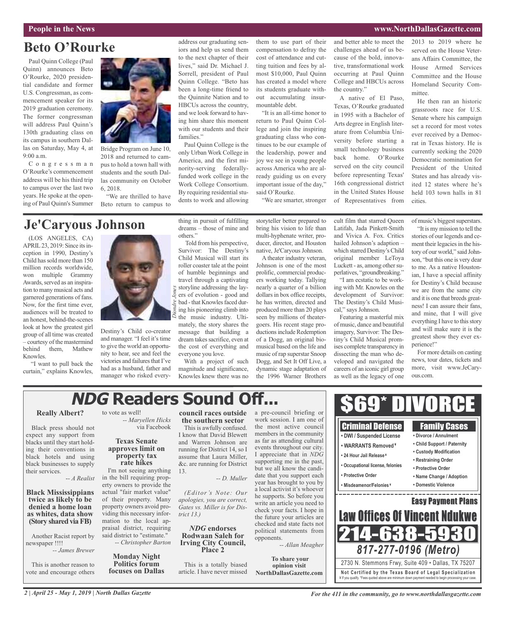# **People in the News www.NorthDallasGazette.com**

# **Beto O'Rourke**

Paul Quinn College (Paul Quinn) announces Beto O'Rourke, 2020 presidential candidate and former U.S. Congressman, as commencement speaker for its 2019 graduation ceremony. The former congressman will address Paul Quinn's 130th graduating class on its campus in southern Dallas on Saturday, May 4, at 9:00 a.m.

C o n g r e s s m a n O'Rourke's commencement address will be his third trip to campus over the last two years. He spoke at the opening of Paul Quinn's Summer



Bridge Program on June 10, 2018 and returned to campus to hold a town hall with students and the south Dallas community on October 6, 2018.

"We are thrilled to have Beto return to campus to

# **Je'Caryous Johnson**

(LOS ANGELES, CA) APRIL23, 2019: Since itsinception in 1990, Destiny's Child hassold more than 150 million records worldwide, won multiple Grammy Awards, served as an inspiration to many musical acts and garnered generations of fans. Now, for the first time ever, audiences will be treated to an honest, behind-the-scenes look at how the greatest girl group of all time was created – courtesy of the mastermind behind them, Mathew Knowles.

"I want to pull back the curtain," explains Knowles,



Destiny's Child co-creator and manager. "I feel it's time to give the world an opportunity to hear, see and feel the victories and failures that I've had as a husband, father and manager who risked everything in pursuit of fulfilling dreams – those of mine and others."

Paul Quinn College is the only Urban Work College in America, and the first minority-serving federallyfunded work college in the Work College Consortium. By requiring residential students to work and allowing

families."

address our graduating seniors and help us send them to the next chapter of their lives," said Dr. Michael J. Sorrell, president of Paul Quinn College. "Beto has been a long-time friend to the Quinnite Nation and to HBCUs across the country, and we look forward to having him share this moment with our students and their

Told from his perspective, Survivor: The Destiny's Child Musical will start its roller coaster tale at the point of humble beginnings and travel through a captivating storyline addressing the layers of evolution - good and  $\frac{1}{8}$  bad - that Knowles faced during his pioneering climb into the music industry. Ultimately, the story shares the message that building a dream takes sacrifice, even at the cost of everything and everyone you love. *Diondre Jones*

With a project of such magnitude and significance, Knowles knew there was no them to use part of their compensation to defray the cost of attendance and cutting tuition and fees by almost \$10,000, Paul Quinn has created a model where its students graduate without accumulating insurmountable debt.

"It is an all-time honor to return to Paul Quinn College and join the inspiring graduating class who continues to be our example of the leadership, power and joy we see in young people across America who are already guiding us on every important issue of the day," said O'Rourke.

"We are smarter, stronger

prolific, commercial producers working today. Tallying nearly a quarter of a billion dollars in box office receipts, he has written, directed and produced more than 20 plays seen by millions of theatergoers. His recent stage productions include Redemption of a Dogg, an original biomusical based on the life and music of rap superstar Snoop Dogg, and Set It Off Live, a dynamic stage adaptation of the 1996 Warner Brothers

storyteller better prepared to bring his vision to life than multi-hyphenate writer, producer, director, and Houston native, Je'Caryous Johnson. A theater industry veteran, Johnson is one of the most cult film that starred Queen Latifah, Jada Pinkett-Smith and Vivica A. Fox. Critics hailed Johnson's adaption – which starred Destiny's Child original member LeToya Luckett - as, among other su-

and better able to meet the challenges ahead of us because of the bold, innovative, transformational work occurring at Paul Quinn College and HBCUs across

A native of El Paso, Texas, O'Rourke graduated in 1995 with a Bachelor of Arts degree in English literature from Columbia University before starting a small technology business back home. O'Rourke served on the city council before representing Texas' 16th congressional district in the United States House of Representatives from

the country."

perlatives, "groundbreaking." "I am ecstatic to be working with Mr. Knowles on the development of Survivor: The Destiny's Child Musical," says Johnson.

Featuring a masterful mix of music, dance and beautiful imagery, Survivor: The Destiny's Child Musical promises complete transparency in dissecting the man who developed and navigated the careers of an iconic girl group as well as the legacy of one 2013 to 2019 where he served on the House Veterans Affairs Committee, the House Armed Services Committee and the House Homeland Security Committee.

He then ran an historic grassroots race for U.S. Senate where his campaign set a record for most votes ever received by a Democrat in Texas history. He is currently seeking the 2020 Democratic nomination for President of the United States and has already visited 12 states where he's held 103 town halls in 81 cities.

of music's biggest superstars.

"It is my mission to tell the stories of our legends and cement their legacies in the history of our world," said Johnson, "but this one is very dear to me. As a native Houstonian, I have a special affinity for Destiny's Child because we are from the same city and it is one that breeds greatness! I can assure their fans, and mine, that I will give everything I have to this story and will make sure it is the greatest show they ever experience!"

For more details on casting news, tour dates, tickets and more, visit www.JeCaryous.com.

#### **NDG Readers Sound Off...** \$69\* DIVORCE a pre-council briefing or to vote as well! **council races outside** *-- Maryellen Hicks* work session. I am one of **the southern sector** Criminal Defense Family Cases the most active council via Facebook This is awfully confused. members in the community I know that David Blewett **• DWI / Suspended License • Divorce / Annulment** as far as attending cultural **Texas Senate** and Warren Johnson are **• Child Support / Paternity • WARRANTS Removed ¥** events throughout our city. **approves limit on** running for District 14, so I **• Custody Modification** I appreciate that in *NDG* **• 24 Hour Jail Release ¥ property tax** assume that Laura Miller, **• Restraining Order** supporting me in the past, **rate hikes** &c. are running for District **• Occupational license, felonies • Protective Order** but we all know the candi-I'm not seeing anything 13. date that you support each **• Protective Order • Name Change / Adoption** -*- A Realist* in the bill requiring prop-*-- D. Muller* year has brought to you by erty owners to provide the **• Misdeamenor/Felonies ¥ • Domestic Violence** a local activist it's whoever actual "fair market value" *(Editor's Note: Our* ------------he supports. So before you of their property. Many *apologies, you are correct,* Easy Payment Plans write an article you need to property owners avoid pro-*Gates vs. Miller is for Dis*check your facts. I hope in Law Offices Of Vincent Ndukwe viding this necessary infor*trict 13.)* the future your articles are mation to the local apchecked and state facts not praisal district, requiring *NDG* **endorses** political statements from 14-638-5 said district to "estimate." **Rodwaan Saleh for** opponents. *-- Christopher Barton* **Irving City Council, Place <sup>2</sup>** *-- Allan Meagher 817-277-0196 (Metro) -- James Brewer* **Monday Night To share your** 2730 N. Stemmons Frwy, Suite 409 • Dallas, TX 75207 This is another reason to **Politics forum** This is a totally biased **opinion visit focuses on Dallas** article. I have never missed **Not Ce rtified by the Te x a s Boa rd of Lega l Spe c ia l i za tion NorthDallasGazette.com** ¥ If you qualify. \*Fees quoted above are minimum down payment needed to begin processing your case.

### **Really Albert?**

Black press should not expect any support from blacks until they start holding their conventions in black hotels and using black businesses to supply their services.

**Black Mississippians twice as likely to be denied a home loan as whites, data show (Story shared viaFB)**

Another Racist report by newspaper !!!!

vote and encourage others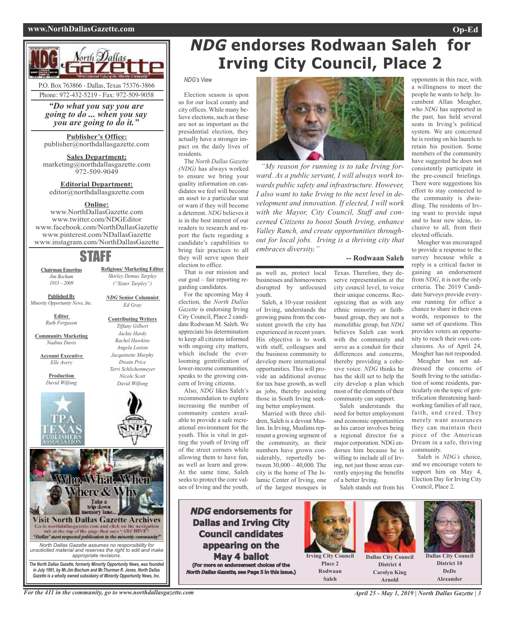### **www.NorthDallasGazette.com Op-Ed**



*"Do what you say you are going to do ... when you say you are going to do it."*

**Publisher's Office:** publisher@northdallasgazette.com

**Sales Department:** marketing@northdallasgazette.com 972-509-9049

**Editorial Department:** editor@northdallasgazette.com

### **Online:**

www.NorthDallasGazette.com www.twitter.com/NDGEditor www.facebook.com/NorthDallasGazette www.pinterest.com/NDallasGazette www.instagram.com/NorthDallasGazette

# STAFF

**Religious/ Marketing Editor** *Shirley Demus Tarpley ("Sister Tarpley")*

*NDG* **Senior Columnist** *Ed Gray*

**Contributing Writers** *Tiffany Gilbert Jackie Hardy Rachel Hawkins Angela Loston Jacquinette Murphy Dwain Price Terri Schlichenmeyer Nicole Scott David Wilfong*

**Chairman Emeritus** *Jim Bochum 1933 – 2009*

**Published By** *Minority Opportunity News, Inc.*

> **Editor** *Ruth Ferguson*

**Community Marketing** *Nadina Davis*

**Account Executive** *Elle Avery*

> **Production** *David Wilfong*





*Gazette is a wholly owned subsidairy of Minority Opportunity News, Inc.*

*in July 1991, by Mr.Jim Bochum and Mr.Thurman R. Jones. North Dallas*

# **NDG endorses Rodwaan Saleh for Irving City Council, Place 2**

### *NDG's* View

Election season is upon us for our local county and city offices. While many believe elections, such as these are not as important as the presidential election, they actually have a stronger impact on the daily lives of residents.

The *North Dallas Gazette (NDG)* has always worked to ensure we bring your quality information on candidates we feel will become an asset to a particular seat or warn if they will become a deterrent. *NDG* believes it is in the best interest of our readers to research and report the facts regarding a candidate's capabilities to bring fair practices to all they will serve upon their election to office.

That is our mission and our goal – fair reporting regarding candidates.

For the upcoming May 4 election, the *North Dallas Gazette* is endorsing Irving City Council, Place 2 candidate Rodwaan M. Saleh. We appreciate his determination to keep all citizens informed with ongoing city matters, which include the everlooming gentrification of lower-income communities, speaks to the growing concern of Irving citizens. Also, *NDG* likes Saleh's

recommendation to explore increasing the number of community centers available to provide a safe recreational environment for the youth. This is vital in getting the youth of Irving off of the street corners while allowing them to have fun, as well as learn and grow. At the same time, Saleh seeks to protect the core values of Irving and the youth,



*"My reason for running is to take Irving forward. As a public servant, I will always work towards public safety and infrastructure. However, I also want to take Irving to the next level in development and innovation. If elected, I will work with the Mayor, City Council, Staff and concerned Citizens to boost South Irving, enhance Valley Ranch, and create opportunities throughout for local jobs. Irving is a thriving city that embraces diversity."*

#### **-- Rodwaan Saleh**

as well as, protect local businesses and homeowners disrupted by unfocused youth.

Saleh, a 10-year resident of Irving, understands the growing pains from the consistent growth the city has experienced in recent years. His objective is to work with staff, colleagues and the business community to develop more international opportunities. This will provide an additional avenue for tax base growth, as well as jobs, thereby assisting those in South Irving seeking better employment.

Married with three children, Saleh is a devout Muslim. In Irving, Muslims represent a growing segment of the community, as their numbers have grown considerably, reportedly between 30,000 – 40,000. The city is the home of The Islamic Center of Irving, one of the largest mosques in

Texas. Therefore, they deserve representation at the city council level, to voice their unique concerns. Recognizing that as with any ethnic minority or faithbased group, they are not a monolithic group, but *NDG* believes Saleh can work with the community and serve as a conduit for their differences and concerns, thereby providing a cohesive voice. *NDG* thinks he has the skill set to help the city develop a plan which most of the elements of their community can support.

Saleh understands the need for better employment and economic opportunities as his career involves being a regional director for a major corporation. NDG endorses him because he is willing to include all of Irving, not just those areas currently enjoying the benefits of a better Irving.

Saleh stands out from his



to provide a response to the survey because while a reply is a critical factor in gaining an endorsement from *NDG*, it is not the only criteria. The 2019 Candidate Surveys provide everyone running for office a chance to share in their own words, responses to the same set of questions. This provides voters an opportunity to reach their own conclusions. As of April 24, Meagher has not responded.

Meagher has not addressed the concerns of South Irving to the satisfaction of some residents, particularly on the topic of gentrification threatening hardworking families of all race, faith, and creed. They merely want assurances they can maintain their piece of the American Dream in a safe, thriving community.

Saleh is *NDG's* choice, and we encourage voters to support him on May 4, Election Day for Irving City Council, Place 2.

**NDG endorsements for Dallas and Irving City Council candidates appearing on the May 4 ballot (For more on endorsement choices of the North Dallas Gazette, see Page 5 in this issue.)**



**Arnold**

For the 411 in the community, go to www.northdallasgazette.com April 25 - May 1, 2019 | North Dallas Gazette | 3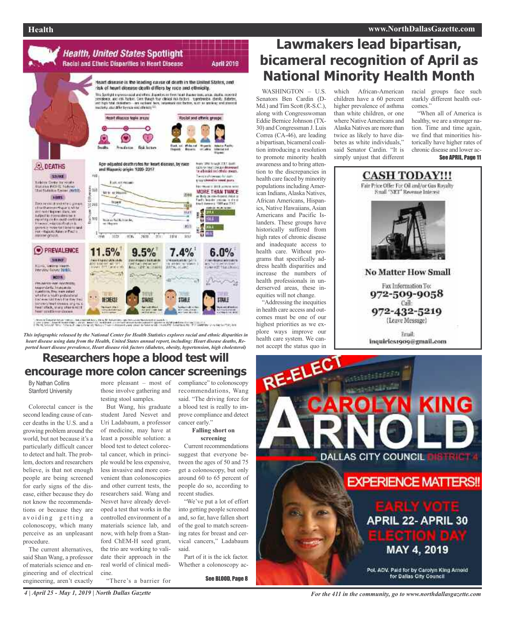

# The terms for Company's destroyed the pressure of the strategy and their<br>In the company of the company of the company of the company of the company of the company of the company of th<br>In the company of the company of the c

*This infographic released by the National Center for Health Statistics explores racial and ethnic disparities in heart disease using data from the Health, United States annual report, including: Heart disease deaths, Reported heart disease prevalence, Heart disease risk factors (diabetes, obesity, hypertension, high cholesterol)*

# **Researchers hope a blood test will encourage more colon cancer screenings**

By Nathan Collins Stanford University

Colorectal cancer is the second leading cause of cancer deaths in the U.S. and a growing problem around the world, but not because it's a particularly difficult cancer to detect and halt. The problem, doctors and researchers believe, is that not enough people are being screened for early signs of the disease, either because they do not know the recommendations or because they are avoiding getting a colonoscopy, which many perceive as an unpleasant procedure.

The current alternatives, said Shan Wang, a professor of materials science and engineering and of electrical engineering, aren't exactly

more pleasant – most of compliance" to colonoscopy those involve gathering and testing stool samples.

But Wang, his graduate student Jared Nesvet and Uri Ladabaum, a professor of medicine, may have at least a possible solution: a blood test to detect colorectal cancer, which in principle would be less expensive, less invasive and more convenient than colonoscopies and other current tests, the researchers said. Wang and Nesvet have already developed a test that works in the controlled environment of a materials science lab, and now, with help from a Stanford ChEM-H seed grant, the trio are working to validate their approach in the real world of clinical medicine. "There's a barrier for

recommendations, Wang said. "The driving force for a blood test is really to improve compliance and detect cancer early.'

#### **Falling short on screening**

Current recommendations suggest that everyone between the ages of 50 and 75 get a colonoscopy, but only around 60 to 65 percent of people do so, according to recent studies.

"We've put a lot of effort into getting people screened and, so far, have fallen short of the goal to match screening rates for breast and cervical cancers," Ladabaum said.

Part of it is the ick factor. Whether a colonoscopy ac-

See BLOOD, Page 8

# **Lawmakers lead bipartisan, bicameral recognition of April as National Minority Health Month**

WASHINGTON - U.S. Senators Ben Cardin (D-Md.) and Tim Scott (R-S.C.), along with Congresswoman Eddie Bernice Johnson (TX-30) and Congressman J. Luis Correa (CA-46), are leading a bipartisan, bicameral coalition introducing a resolution to promote minority health awareness and to bring attention to the discrepancies in health care faced by minority populations including American Indians, Alaska Natives, African Americans, Hispanics, Native Hawaiians, Asian Americans and Pacific Islanders. These groups have historically suffered from high rates of chronic disease and inadequate access to health care. Without programs that specifically address health disparities and increase the numbers of health professionals in underserved areas, these inequities will not change.

"Addressing the inequities in health care access and outcomes must be one of our highest priorities as we explore ways improve our health care system. We cannot accept the status quo in

which African-American children have a 60 percent higher prevalence of asthma than white children, or one where Native Americans and Alaska Natives are more than twice as likely to have diabetes as white individuals," said Senator Cardin. "It is simply unjust that different

racial groups face such starkly different health outcomes."

"When all of America is healthy, we are a stronger nation. Time and time again, we find that minorities historically have higher rates of chronic disease and lower ac-





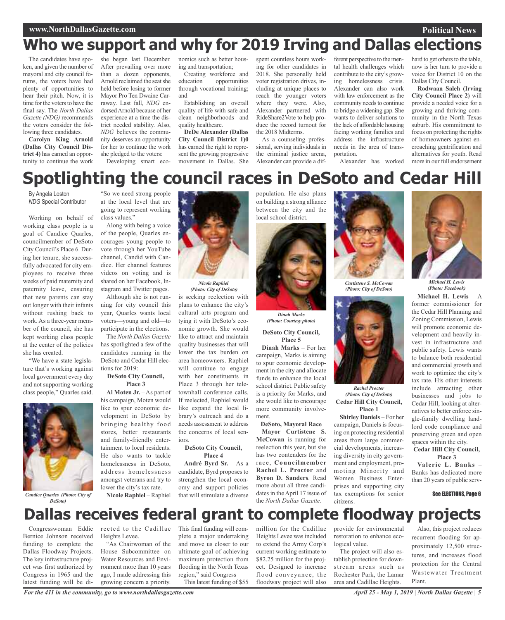### **www.NorthDallasGazette.com**

# **Who we support and why for 2019 Irving and Dallas elections**

The candidates have spoken, and given the number of mayoral and city council forums, the voters have had plenty of opportunities to hear their pitch. Now, it is time for the voters to have the final say. The *North Dallas Gazette (NDG)* recommends the voters consider the following three candidates.

**Carolyn King Arnold (Dallas City Council District 4)** has earned an opportunity to continue the work

she began last December. After prevailing over more than a dozen opponents, Arnold reclaimed the seatshe held before losing to former Mayor Pro Ten Dwaine Carraway. Last fall, *NDG* endorsedArnold because of her experience at a time the district needed stability. Also, *NDG* believes the community deserves an opportunity for her to continue the work she pledged to the voters:

Developing smart eco-

nomics such as better housing and transportation;

Creating workforce and<br>education opportunities opportunities through vocational training; and

Establishing an overall quality of life with safe and clean neighborhoods and quality healthcare.

**DeDe Alexander (Dallas City Council District 1)0** has earned the right to represent the growing progressive movement in Dallas. She

spent countless hours working for other candidates in 2018. She personally held voter registration drives, including at unique places to reach the younger voters where they were. Also, Alexander partnered with RideShare2Vote to help produce the record turnout for the 2018 Midterms.

As a counseling professional, serving individuals in the criminal justice arena, Alexander can provide a dif-

ferent perspective to the mental health challenges which contribute to the city's growing homelessness crisis. Alexander can also work with law enforcement as the community needs to continue to bridge a widening gap. She wants to deliver solutions to the lack of affordable housing facing working families and address the infrastructure needs in the area of transportation.

Alexander has worked

hard to get others to the table, now is her turn to provide a voice for District 10 on the Dallas City Council.

**Political News**

**Rodwaan Saleh (Irving City Council Place 2)** will provide a needed voice for a growing and thriving community in the North Texas suburb. His commitment to focus on protecting the rights of homeowners against encroaching gentrification and alternatives for youth. Read more in our full endorsement

# **Spotlighting the council races in DeSoto and Cedar Hill**

By Angela Loston *NDG* Special Contributor

Working on behalf of working class people is a goal of Candice Quarles, councilmember of DeSoto City Council's Place 6. During her tenure, she successfully advocated for city employees to receive three weeks of paid maternity and paternity leave, ensuring that new parents can stay out longer with their infants without rushing back to work. As a three-year member of the council, she has kept working class people at the center of the policies she has created.

"We have a state legislature that's working against local government every day and not supporting working class people," Quarles said.



*DeSoto)*

"So we need strong people at the local level that are going to represent working class values."

Along with being a voice of the people, Quarles encourages young people to vote through her YouTube channel, Candid with Candice. Her channel features videos on voting and is shared on her Facebook, Instagram and Twitter pages.

Although she is not running for city council this year, Quarles wants local voters—young and old—to participate in the elections.

The *North Dallas Gazette* has spotlighted a few of the candidates running in the DeSoto and Cedar Hill elections for 2019:

### **DeSoto City Council, Place 3**

**Al Moten Jr.** – As part of his campaign, Moten would like to spur economic development in DeSoto by bringing healthy food stores, better restaurants and family-friendly entertainment to local residents. He also wants to tackle homelessness in DeSoto, address homelessness amongst veterans and try to lower the city's tax rate.

**Nicole Raphiel** – Raphiel



is seeking reelection with plans to enhance the city's cultural arts program and tying it with DeSoto's economic growth. She would like to attract and maintain quality businesses that will lower the tax burden on area homeowners. Raphiel will continue to engage with her constituents in Place 3 through her teletownhall conference calls. If reelected, Raphiel would *(Photo: City of DeSoto)*

like expand the local library's outreach and do a needs assessment to address the concerns of local seniors.

#### **DeSoto City Council, Place 4**

**André Byrd Sr.** – As a candidate, Byrd proposes to strengthen the local economy and support policies that will stimulate a diverse population. He also plans on building a strong alliance between the city and the local school district.



*(Photo: Courtesy photo)*

**DeSoto City Council, Place 5**

**Dinah Marks** – For her campaign, Marks is aiming to spur economic development in the city and allocate funds to enhance the local school district. Public safety is a priority for Marks, and she would like to encourage more community involvement.

**DeSoto, Mayoral Race Mayor Curtistene S. McCowan** is running for reelection this year, but she has two contenders for the race, **Councilmember Rachel L. Proctor** and **Byron D. Sanders**. Read more about all three candidates in the April 17 issue of the *North Dallas Gazette*.



*(Photo: City of DeSoto)*



**Cedar Hill City Council, Place 1** *(Photo: City of DeSoto)*

**Shirley Daniels** – For her campaign, Daniels is focusing on protecting residential areas from large commercial developments, increasing diversity in city government and employment, promoting Minority and Women Business Enterprises and supporting city tax exemptions for senior citizens.



*Michael H. Lewis (Photo: Facebook)*

**Michael H. Lewis** – A former commissioner for the Cedar Hill Planning and Zoning Commission, Lewis will promote economic development and heavily invest in infrastructure and public safety. Lewis wants to balance both residential and commercial growth and work to optimize the city's tax rate. His other interests include attracting other businesses and jobs to Cedar Hill, looking at alternatives to better enforce single-family dwelling landlord code compliance and preserving green and open spaces within the city.

#### **Cedar Hill City Council, Place 3**

**Valerie L. Banks** – Banks has dedicated more than 20 years of public serv-

See ELECTIONS, Page 6

# **Dallas receives federal grant to complete floodway projects**

Congresswoman Eddie Bernice Johnson received funding to complete the Dallas Floodway Projects. The key infrastructure project was first authorized by Congress in 1965 and the latest funding will be di-

rected to the Cadillac This final funding will com-Heights Levee.

"As Chairwoman of the House Subcommittee on Water Resources and Environment more than 10 years ago, I made addressing this growing concern a priority.

plete a major undertaking and move us closer to our ultimate goal of achieving maximum protection from flooding in the North Texas region," said Congress This latest funding of \$55

million for the Cadillac Heights Levee was included to extend the Army Corp's current working estimate to \$82.25 million for the project. Designed to increase flood conveyance, the floodway project will also

provide for environmental restoration to enhance ecological value.

The project will also establish protection for downstream areas such as Rochester Park, the Lamar area and Cadillac Heights.

Also, this project reduces recurrent flooding for approximately 12,500 structures, and increases flood protection for the Central Wastewater Treatment Plant.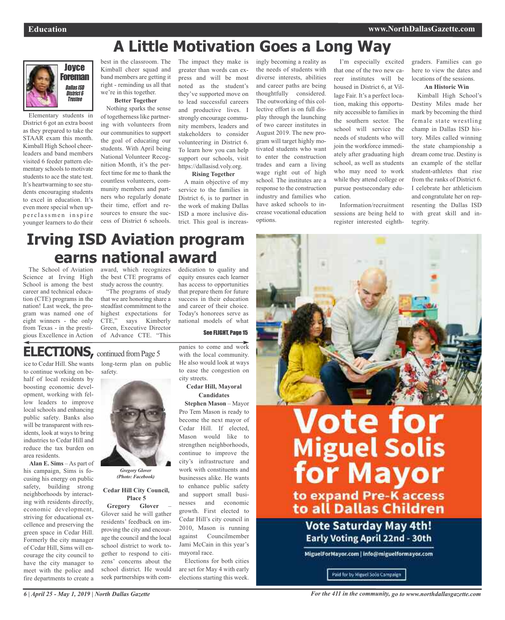# **A Little Motivation Goes a Long Way**



Elementary students in District 6 got an extra boost as they prepared to take the STAAR exam this month. Kimball High School cheerleaders and band members visited 6 feeder pattern elementary schools to motivate students to ace the state test. It's heartwarming to see students encouraging students to excel in education. It's even more special when upperclassmen inspire younger learners to do their

best in the classroom. The Kimball cheer squad and band members are getting it right - reminding us all that we're in this together.

**Better Together**

Nothing sparks the sense of togetherness like partnering with volunteers from our communities to support the goal of educating our students. With April being National Volunteer Recognition Month, it's the perfect time for me to thank the countless volunteers, community members and partners who regularly donate their time, effort and resources to ensure the success of District 6 schools.

The impact they make is greater than words can express and will be most noted as the student's they've supported move on to lead successful careers and productive lives. I strongly encourage community members, leaders and stakeholders to consider volunteering in District 6. To learn how you can help support our schools, visit https://dallasisd.voly.org.

# **Rising Together**

A main objective of my service to the families in District 6, is to partner in the work of making Dallas ISD a more inclusive district. This goal is increasingly becoming a reality as the needs of students with diverse interests, abilities and career paths are being thoughtfully considered. The outworking of this collective effort is on full display through the launching of two career institutes in August 2019. The new program will target highly motivated students who want to enter the construction trades and earn a living wage right out of high school. The institutes are a response to the construction industry and families who have asked schools to increase vocational education options.

I'm especially excited that one of the two new career institutes will be housed in District 6, at Village Fair. It's a perfect location, making this opportunity accessible to families in the southern sector. The school will service the needs of students who will join the workforce immediately after graduating high school, as well as students who may need to work while they attend college or pursue postsecondary education.

Information/recruitment sessions are being held to register interested eighth-

graders. Families can go here to view the dates and locations of the sessions.

#### **An Historic Win**

Kimball High School's Destiny Miles made her mark by becoming the third female state wrestling champ in Dallas ISD history. Miles called winning the state championship a dream come true. Destiny is an example of the stellar student-athletes that rise from the ranks of District 6. I celebrate her athleticism and congratulate her on representing the Dallas ISD with great skill and integrity.

# **Irving ISD Aviation program earns national award**

The School of Aviation Science at Irving High School is among the best career and technical education (CTE) programs in the nation! Last week, the program was named one of eight winners - the only from Texas - in the prestigious Excellence in Action

award, which recognizes the best CTE programs of study across the country.

"The programs of study that we are honoring share a steadfast commitment to the highest expectations for CTE," says Kimberly Green, Executive Director of Advance CTE. "This

dedication to quality and equity ensures each learner has access to opportunities that prepare them for future success in their education and career of their choice. Today's honorees serve as national models of what

See FLIGHT, Page 15

# **ELECTIONS**, continued from Page 5

ice to Cedar Hill. She wants to continue working on behalf of local residents by boosting economic development, working with fellow leaders to improve local schools and enhancing public safety. Banks also will be transparent with residents, look at ways to bring industries to Cedar Hill and reduce the tax burden on area residents.

**Alan E. Sims** – As part of his campaign, Sims is focusing his energy on public safety, building strong neighborhoods by interacting with residents directly, economic development, striving for educational excellence and preserving the green space in Cedar Hill. Formerly the city manager of Cedar Hill, Sims will encourage the city council to have the city manager to meet with the police and fire departments to create a

long-term plan on public safety.



*(Photo: Facebook)*

### **Cedar Hill City Council, Place 5**

**Gregory Glover** – Glover said he will gather residents' feedback on improving the city and encourage the council and the local school district to work together to respond to citizens' concerns about the school district. He would seek partnerships with companies to come and work with the local community. He also would look at ways to ease the congestion on city streets.

### **Cedar Hill, Mayoral Candidates**

**Stephen Mason** – Mayor Pro Tem Mason is ready to become the next mayor of Cedar Hill. If elected, Mason would like to strengthen neighborhoods, continue to improve the city's infrastructure and work with constituents and businesses alike. He wants to enhance public safety and support small businesses and economic growth. First elected to Cedar Hill's city council in 2010, Mason is running against Councilmember Jami McCain in this year's mayoral race.

Elections for both cities are set for May 4 with early elections starting this week.



# **Vote for<br>
Miguel Solis<br>
for Mayor** to expand Pre-K access to all Dallas Children

Vote Saturday May 4th! Early Voting April 22nd - 30th

MiguelForMayor.com | info@miguelformayor.com

Paid for by Miguel Solis Campaign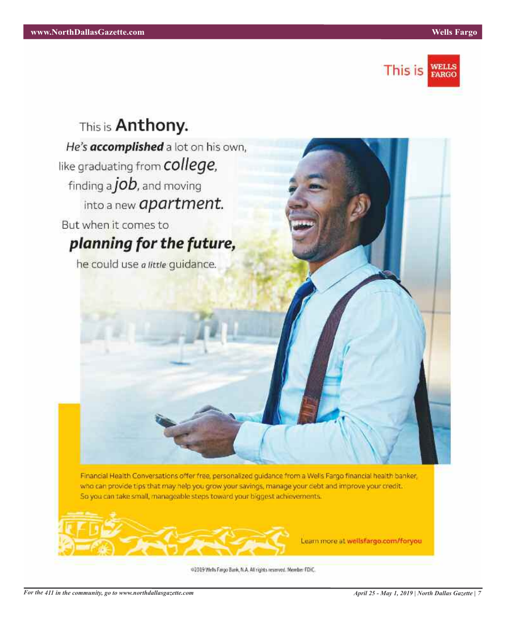



Financial Health Conversations offer free, personalized guidance from a Wells Fargo financial health banker, who can provide tips that may help you grow your savings, manage your debt and improve your credit. So you can take small, manageable steps toward your biggest achievements.



Learn more at wellsfargo.com/foryou

@2019 Wells Fargo Bank, N.A. All rights reserved. Member FDIC.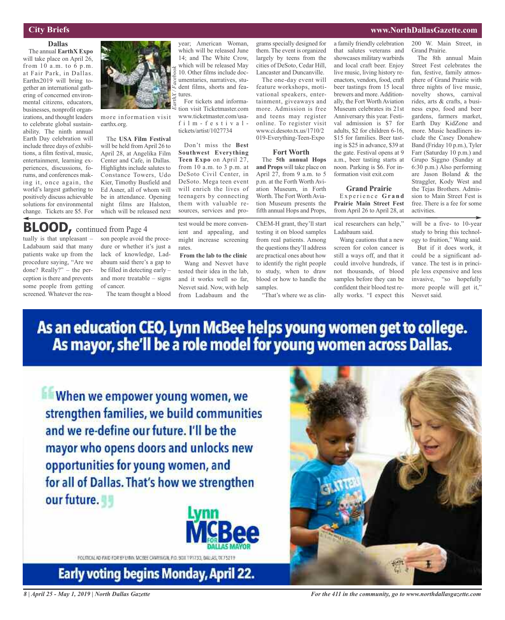# **City Briefs**

### **Dallas**

The annual **EarthX Expo** will take place on April 26, from 10 a.m. to 6 p.m. at Fair Park, in Dallas. Earthx2019 will bring together an international gathering of concerned environmental citizens, educators, businesses, nonprofit organizations, and thought leaders to celebrate global sustainability. The ninth annual Earth Day celebration will include three days of exhibitions, a film festival, music, entertainment, learning experiences, discussions, forums, and conferences making it, once again, the world's largest gathering to positively discuss achievable solutions for environmental change. Tickets are \$5. For



more information visit earthx.org.

The **USA Film Festival** will be held fromApril 26 to April 28, at Angelika Film Center and Cafe, in Dallas. Highlights include salutes to Constance Towers, Udo Kier, Timothy Busfield and Ed Asner, all of whom will be in attendance. Opening night films are Halston, which will be released next

# **BLOOD,** continued from Page <sup>4</sup>

tually is that unpleasant – Ladabaum said that many patients wake up from the procedure saying, "Are we done? Really?" – the perception is there and prevents some people from getting screened. Whatever the rea-

son people avoid the procedure or whether it's just a lack of knowledge, Ladabaum said there's a gap to be filled in detecting early – and more treatable – signs of cancer.

The team thought a blood

year; American Woman, which will be released June 14; and The White Crow, which will be released May 10. Other films include documentaries, narratives, student films, shorts and features.

For tickets and information visit Ticketmaster.com www.ticketmaster.com/usafilm - festivaltickets/artist/1027734

Don't miss the **Best Southwest Everything Teen Expo** on April 27, from 10 a.m. to 3 p.m. at DeSoto Civil Center, in DeSoto. Mega teen event will enrich the lives of teenagers by connecting them with valuable resources, services and pro-

test would be more convenient and appealing, and might increase screening rates.

**From the lab to the clinic** Wang and Nesvet have tested their idea in the lab, and it works well so far, Nesvet said. Now, with help from Ladabaum and the

gramsspecially designed for them. The event is organized largely by teens from the cities of DeSoto, Cedar Hill, Lancaster and Duncanville.

The one-day event will feature workshops, motivational speakers, entertainment, giveaways and more. Admission is free and teens may register online. To register visit www.ci.desoto.tx.us/1710/2 019-Everything-Teen-Expo

#### **Fort Worth**

The **5th annual Hops and Props** will take place on April  $27$ , from 9 a.m. to 5 p.m. at the Forth Worth Aviation Museum, in Forth Worth. The Fort Worth Aviation Museum presents the fifth annual Hops and Props,

ChEM-H grant, they'll start testing it on blood samples from real patients. Among the questions they'll address are practical ones about how to identify the right people to study, when to draw blood or how to handle the samples.

"That's where we as clin-

a family friendly celebration that salutes veterans and showcases military warbirds and local craft beer. Enjoy live music, living history reenactors, vendors, food, craft beer tastings from 15 local brewers and more. Additionally, the Fort Worth Aviation Museum celebrates its 21st Anniversary this year. Festival admission is \$7 for adults, \$2 for children 6-16, \$15 for families. Beer tasting is \$25 in advance, \$39 at the gate. Festival opens at 9 a.m., beer tasting starts at noon. Parking is \$6. For information visit exit.com

### **Grand Prairie**

E x p e ri e n c e **G r a n d Prairie Main Street Fest** from April 26 to April 28, at

ical researchers can help," Ladabaum said.

Wang cautions that a new screen for colon cancer is still a ways off, and that it could involve hundreds, if not thousands, of blood samples before they can be confident their blood test really works. "I expect this

200 W. Main Street, in Grand Prairie.

The 8th annual Main Street Fest celebrates the fun, festive, family atmosphere of Grand Prairie with three nights of live music, novelty shows, carnival rides, arts & crafts, a business expo, food and beer gardens, farmers market, Earth Day KidZone and more. Music headliners include the Casey Donahew Band (Friday 10 p.m.), Tyler Farr (Saturday 10 p.m.) and Grupo Siggno (Sunday at 6:30 p.m.) Also performing are Jason Boland & the Straggler, Kody West and the Tejas Brothers. Admission to Main Street Fest is free. There is a fee for some activities.

will be a five- to 10-year study to bring this technology to fruition," Wang said.

But if it does work, it could be a significant advance. The test is in principle less expensive and less invasive, "so hopefully more people will get it," Nesvet said.

As an education CEO, Lynn McBee helps young women get to college.<br>As mayor, she'll be a role model for young women across Dallas.

When we empower young women, we strengthen families, we build communities and we re-define our future. I'll be the mayor who opens doors and unlocks new opportunities for young women, and for all of Dallas. That's how we strengthen our future.



FOLTICALAD FAID FOR BY LYNX MCSEE CAMPAIGN, P.O. BOX 191733, DAILA

Early voting begins Monday, April 22.



*For the 411 in the community, go to www.northdallasgazette.com*

# **www.NorthDallasGazette.com**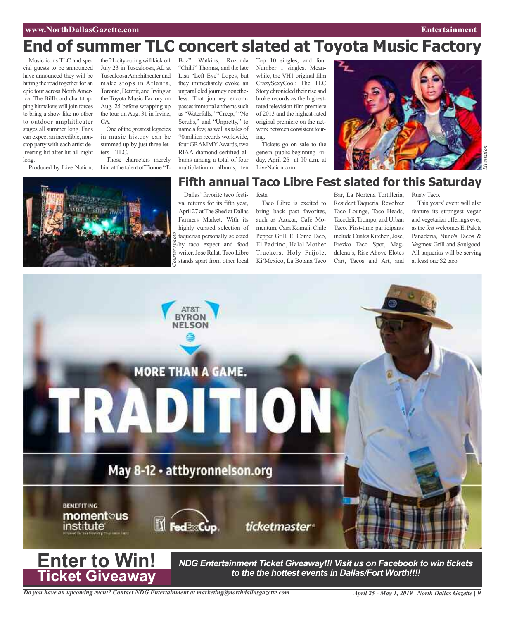# **www.NorthDallasGazette.com Entertainment**

# **End of summer TLC concert slated at Toyota Music Factory**

Music icons TLC and special guests to be announced have announced they will be hitting the road together for an epic tour across North America. The Billboard chart-topping hitmakerswill join forces to bring a show like no other to outdoor amphitheater stages all summer long. Fans can expect an incredible, nonstop party with each artist delivering hit after hit all night long.

Produced by Live Nation,



the 21-city outing will kick off July 23 in Tuscaloosa, AL at TuscaloosaAmphitheater and make stops in Atlanta, Toronto, Detroit, and Irving at the Toyota Music Factory on Aug. 25 before wrapping up the tour on Aug. 31 in Irvine, CA.

One of the greatest legacies in music history can be summed up by just three letters—TLC.

Those characters merely hint at the talent of Tionne "T-

Boz" Watkins, Rozonda "Chilli" Thomas, and the late Lisa "Left Eye" Lopes, but they immediately evoke an unparalleled journey nonetheless. That journey encompasses immortal anthems such as "Waterfalls," "Creep," "No Scrubs," and "Unpretty," to name a few, as well as sales of 70million records worldwide, four GRAMMY Awards, two RIAA diamond-certified albums among a total of four multiplatinum albums, ten

by taco expect and food writer, Jose Ralat, Taco Libre stands apart from other local

Top 10 singles, and four Number 1 singles. Meanwhile, the VH1 original film CrazySexyCool: The TLC Story chronicled their rise and broke records as the highestrated television film premiere of 2013 and the highest-rated original premiere on the network between consistent touring.

Tickets go on sale to the general public beginning Friday, April 26 at 10 a.m. at LiveNation.com.



# **Fifth annual Taco Libre Fest slated for this Saturday**

Dallas' favorite taco festival returns for its fifth year, April 27 at The Shed at Dallas Farmers Market. With its highly curated selection of taquerias personally selected fests.

Taco Libre is excited to bring back past favorites, such as Azucar, Café Momentum, Casa Komali, Chile Pepper Grill, El Come Taco, El Padrino, Halal Mother Truckers, Holy Frijole, Ki'Mexico, La Botana Taco at least one to the court of the courtesy countries of the courtes of the courtes of the courtesy witer, Jose Ralat, Taco Libre Truckers, Holy Frijole, dalena's, Rise Above Elotes All taquerias will be stands apart from ot

Bar, La Norteña Tortilleria, Resident Taqueria, Revolver Taco Lounge, Taco Heads, Tacodeli, Trompo, and Urban Taco. First-time participants includeCuates Kitchen,José, Frezko Taco Spot, Magdalena's, Rise Above Elotes Cart, Tacos and Art, and

Rusty Taco.

This years' event will also feature its strongest vegan and vegetarian offerings ever, asthe fest welcomes El Palote Panaderia, Nuno's Tacos & Vegmex Grill and Soulgood. All taquerias will be serving



*NDG Entertainment Ticket Giveaway!!! Visit us on Facebook to win tickets to the the hottest events in Dallas/Fort Worth!!!!*

*Do you have an upcoming event? Contact NDG Entertainment at marketing@northdallasgazette.com*

**Ticket Giveaway**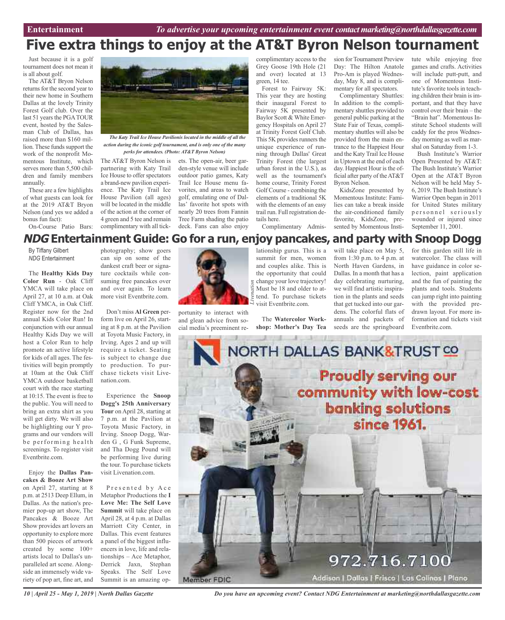# **Five extra things to enjoy at the AT&T Byron Nelson tournament**

Just because it is a golf tournament does not mean it is all about golf.

The AT&T Bryon Nelson returns for the second year to their new home in Southern Dallas at the lovely Trinity Forest Golf club. Over the last 51 years the PGATOUR event, hosted by the Salesman Club of Dallas, has raised more than \$160 million. These funds support the work of the nonprofit Momentous Institute, which serves more than 5,500 children and family members annually.

These are a few highlights of what guests can look for at the 2019 AT&T Bryon Nelson (and yes we added a bonus fun fact):

On-Course Patio Bars:



*The Katy Trail Ice House Pavilionis located in the middle of all the action during the iconic golf tournament, and is only one of the many perks for attendees. (Photo: AT&T Byron Nelson)*

The AT&T Byron Nelson is partnering with Katy Trail Ice House to offer spectators a brand-new pavilion experience. The Katy Trail Ice House Pavilion (all ages) will be located in the middle of the action at the corner of 4 green and 5 tee and remain complimentary with all tick-

ets. The open-air, beer garden-style venue will include outdoor patio games, Katy Trail Ice House menu favorites, and areas to watch golf, emulating one of Dallas' favorite hot spots with nearly 20 trees from Fannin Tree Farm shading the patio deck. Fans can also enjoy

complimentary access to the Grey Goose 19th Hole (21 and over) located at 13 green, 14 tee.

Forest to Fairway 5K: This year they are hosting their inaugural Forest to Fairway 5K presented by Baylor Scott & White Emergency Hospitals on April 27 at Trinity Forest Golf Club. This 5K provides runners the unique experience of running through Dallas' Great Trinity Forest (the largest urban forest in the U.S.), as well as the tournament's home course, Trinity Forest Golf Course - combining the elements of a traditional 5K with the elements of an easy trail run. Full registration details here.

Complimentary Admis-

sion for Tournament Preview Day: The Hilton Anatole Pro-Am is played Wednesday, May 8, and is complimentary for all spectators.

Complimentary Shuttles: In addition to the complimentary shuttles provided to general public parking at the State Fair of Texas, complimentary shuttles will also be provided from the main entrance to the Happiest Hour and the Katy Trail Ice House in Uptown at the end of each day. Happiest Hour is the official after party of theAT&T Byron Nelson.

KidsZone presented by Momentous Institute: Families can take a break inside the air-conditioned family favorite, KidsZone, presented by Momentous Insti-

tute while enjoying free games and crafts. Activities will include putt-putt, and one of Momentous Institute's favorite tools in teaching children their brain is important, and that they have control over their brain – the "Brain hat". Momentous Institute School students will caddy for the pros Wednesday morning as well as marshal on Saturday from 1-3.

Bush Institute's Warrior Open Presented by AT&T: The Bush Institute's Warrior Open at the AT&T Byron Nelson will be held May 5- 6, 2019. The Bush Institute's Warrior Open began in 2011 for United States military personnel seriously wounded or injured since September 11, 2001.

# **NDG Entertainment Guide: Go for a run, enjoy pancakes, and party with Snoop Dogg**

By Tiffany Gilbert *NDG* Entertainment

The **Healthy Kids Day Color Run** - Oak Cliff YMCA will take place on April 27, at 10 a.m. at Oak Cliff YMCA, in Oak Cliff. Register now for the 2nd annual Kids Color Run! In conjunction with our annual Healthy Kids Day we will host a Color Run to help promote an active lifestyle for kids of all ages. The festivities will begin promptly at 10am at the Oak Cliff YMCA outdoor basketball court with the race starting at 10:15. The event is free to the public. You will need to bring an extra shirt as you will get dirty. We will also be highlighting our Y programs and our vendors will be performing health screenings. To register visit Eventbrite.com.

Enjoy the **Dallas Pancakes & Booze Art Show** on April 27, starting at 8 p.m. at 2513 Deep Ellum, in Dallas. As the nation's premier pop-up art show, The Pancakes & Booze Art Show provides art lovers an opportunity to explore more than 500 pieces of artwork created by some 100+ artists local to Dallas's unparalleled art scene. Alongside an immensely wide variety of pop art, fine art, and

photography; show goers can sip on some of the dankest craft beer or signature cocktails while consuming free pancakes over and over again. To learn more visit Eventbrite.com.

Don't miss **Al Green** perform live on April 26, starting at 8 p.m. at the Pavilion at Toyota Music Factory, in Irving. Ages 2 and up will require a ticket. Seating is subject to change due to production. To purchase tickets visit Livenation.com.

Experience the **Snoop Dogg's 25th Anniversary Tour** on April 28, starting at 7 p.m. at the Pavilion at Toyota Music Factory, in Irving. Snoop Dogg, Warden G , G Funk Supreme, and Tha Dogg Pound will be performing live during the tour. To purchase tickets visit Livenation.com.

Presented by Ace Metaphor Productions the **I Love Me: The Self Love Summit** will take place on April 28, at 4 p.m. at Dallas Marriott City Center, in Dallas. This event features a panel of the biggest influencers in love, life and relationships – Ace Metaphor, Derrick Jaxn, Stephan Speaks. The Self Love Summit is an amazing op-



portunity to interact with and glean advice from social media's preeminent re-

lationship gurus. This is a summit for men, women and couples alike. This is the opportunity that could  $\frac{1}{6}$  change your love trajectory! Must be 18 and older to attend. To purchase tickets visit Eventbrite.com.

The **Watercolor Workshop: Mother's Day Tea** will take place on May 5, from 1:30 p.m. to 4 p.m. at North Haven Gardens, in Dallas. In a month that has a day celebrating nurturing, we will find artistic inspiration in the plants and seeds that get tucked into our gardens. The colorful flats of annuals and packets of seeds are the springboard

for this garden still life in watercolor. The class will have guidance in color selection, paint application and the fun of painting the plants and tools. Students can jump right into painting with the provided predrawn layout. For more information and tickets visit Eventbrite.com.



*Do you have an upcoming event? Contact NDG Entertainment at marketing@northdallasgazette.com*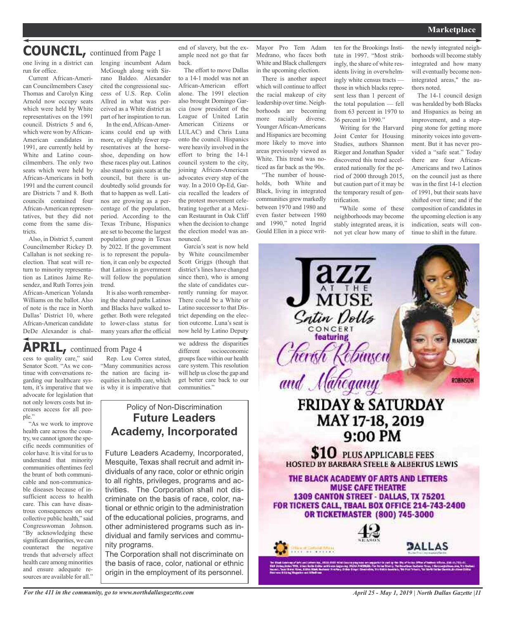# **COUNCIL,** continued from Page <sup>1</sup>

one living in a district can lenging incumbent Adam run for office.

Current African-American Councilmembers Casey Thomas and Carolyn King Arnold now occupy seats which were held by White representatives on the 1991 council. Districts 5 and 6, which were won by African-American candidates in 1991, are currently held by White and Latino councilmembers. The only two seats which were held by African-Americans in both 1991 and the current council are Districts 7 and 8. Both councils contained four African-American representatives, but they did not come from the same districts.

Also, in District 5, current Councilmember Rickey D. Callahan is not seeking reelection. That seat will return to minority representation as Latinos Jaime Resendez, and Ruth Torres join African-American Yolanda Williams on the ballot. Also of note is the race in North Dallas' District 10, where African-American candidate DeDe Alexander is chal-

McGough along with Sirrano Baldeo. Alexander cited the congressional success of U.S. Rep. Colin Allred in what was perceived as a White district as part of her inspiration to run.

In the end,African-Americans could end up with more, or slightly fewer representatives at the horseshoe, depending on how these races play out. Latinos also stand to gain seats at the council, but there is undoubtedly solid grounds for that to happen as well. Latinos are growing as a percentage of the population, period. According to the Texas Tribune, Hispanics are set to become the largest population group in Texas by 2022. If the government is to represent the population, it can only be expected that Latinos in government will follow the population trend.

It is also worth remembering the shared paths Latinos and Blacks have walked together. Both were relegated to lower-class status for many years after the official

end of slavery, but the example need not go that far back.

The effort to move Dallas to a 14-1 model was not an African-American effort alone. The 1991 election also brought Domingo Garcia (now president of the League of United Latin American Citizens or LULAC) and Chris Luna onto the council. Hispanics were heavily involved in the effort to bring the 14-1 council system to the city, joining African-American advocates every step of the way. In a 2010 Op-Ed, Garcia recalled the leaders of the protest movement celebrating together at a Mexican Restaurant in Oak Cliff when the decision to change the election model was announced.

Garcia's seat is now held by White councilmember Scott Griggs (though that district's lines have changed since then), who is among the slate of candidates currently running for mayor. There could be a White or Latino successor to that District depending on the election outcome. Luna's seat is now held by Latino Deputy

Mayor Pro Tem Adam Medrano, who faces both White and Black challengers in the upcoming election.

There is another aspect which will continue to affect the racial makeup of city leadership over time. Neighborhoods are becoming more racially diverse. YoungerAfrican-Americans and Hispanics are becoming more likely to move into areas previously viewed as White. This trend was noticed as far back as the 90s.

"The number of households, both White and Black, living in integrated communities grew markedly between 1970 and 1980 and even faster between 1980 and 1990," noted Ingrid Gould Ellen in a piece written for the Brookings Institute in 1997. "Most strikingly, the share of white residents living in overwhelmingly white census tracts those in which blacks represent less than 1 percent of the total population — fell from 63 percent in 1970 to 36 percent in 1990."

Writing for the Harvard Joint Center for Housing Studies, authors Shannon Rieger and Jonathan Spader discovered this trend accelerated nationally for the period of 2000 through 2015, but caution part of it may be the temporary result of gentrification.

"While some of these neighborhoods may become stably integrated areas, it is not yet clear how many of

azz

 $\overline{\text{MUSE}}$ 

Satin Dolls CONCERT **featuring** 

the newly integrated neighborhoods will become stably integrated and how many will eventually become nonintegrated areas," the authors noted. The 14-1 council design

was heralded by both Blacks and Hispanics as being an improvement, and a stepping stone for getting more minority voices into government. But it has never provided a "safe seat." Today there are four African-Americans and two Latinos on the council just as there was in the first 14-1 election of 1991, but their seats have shifted over time; and if the composition of candidates in the upcoming election is any indication, seats will continue to shift in the future.

MAHOGANY

ROBINSON

**APRIL,** continued from Page <sup>4</sup>

cess to quality care," said Senator Scott. "As we continue with conversations regarding our healthcare system, it's imperative that we advocate for legislation that not only lowers costs but increases access for all people."

"As we work to improve health care across the country, we cannot ignore the specific needs communities of color have. It is vital for us to understand that minority communities oftentimes feel the brunt of both communicable and non-communicable diseases because of insufficient access to health care. This can have disastrous consequences on our collective public health," said Congresswoman Johnson. "By acknowledging these significant disparities, we can counteract the negative trends that adversely affect health care among minorities and ensure adequate resources are available for all."

Rep. Lou Correa stated, "Many communities across the nation are facing inequities in health care, which is why it is imperative that

we address the disparities<br>different socioeconomic socioeconomic groups face within our health care system. This resolution will help us close the gap and get better care back to our communities."

# Policy of Non-Discrimination **Future Leaders Academy, Incorporated**

Future Leaders Academy, Incorporated, Mesquite, Texas shall recruit and admit individuals of any race, color or ethnic origin to all rights, privileges, programs and activities. The Corporation shall not discriminate on the basis of race, color, national or ethnic origin to the administration of the educational policies, programs, and other administered programs such as individual and family services and community programs.

The Corporation shall not discriminate on the basis of race, color, national or ethnic origin in the employment of its personnel.

('herish' Ebinson and Mahegany **FRIDAY & SATURDAY** MAY 17-18, 2019 9:00 PM

\$10 PLUS APPLICABLE FEES **HOSTED BY BARBARA STEELE & ALBERTUS LEWIS** 

THE BLACK ACADEMY OF ARTS AND LETTERS **MUSE CAFE THEATRE** 1309 CANTON STREET - DALLAS, TX 75201 FOR TICKETS CALL, TBAAL BOX OFFICE 214-743-2400 **OR TICKETMASTER (800) 745-3000** 



inia a shekara Amari

**D**ALLAS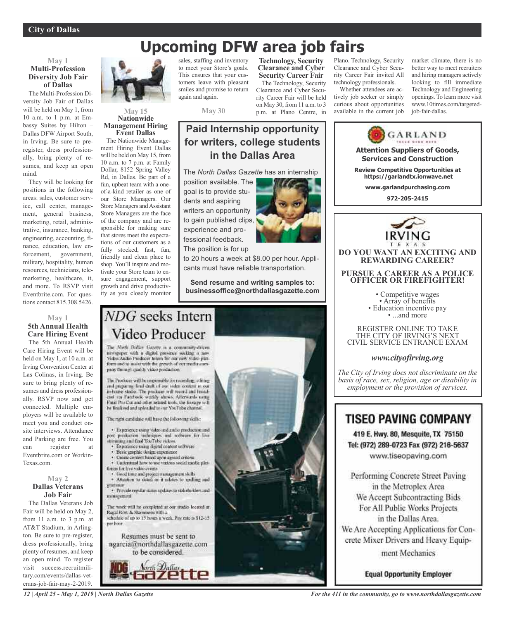# **Upcoming DFW area job fairs**

# **May 1 Multi-Profession Diversity Job Fair of Dallas**

The Multi-Profession Diversity Job Fair of Dallas will be held on May 1, from 10 a.m. to 1 p.m. at Embassy Suites by Hilton – Dallas DFW Airport South, in Irving. Be sure to preregister, dress professionally, bring plenty of resumes, and keep an open mind.

They will be looking for positions in the following areas: sales, customer service, call center, management, general business, marketing, retail, administrative, insurance, banking, engineering, accounting, finance, education, law enforcement, government, military, hospitality, human resources, technicians, telemarketing, healthcare, it, and more. To RSVP visit Eventbrite.com. For questions contact 815.308.5426.

### **May 1 5th Annual Health Care Hiring Event**

The 5th Annual Health Care Hiring Event will be held on May 1, at 10 a.m. at Irving Convention Center at Las Colinas, in Irving. Be sure to bring plenty of resumes and dress professionally. RSVP now and get connected. Multiple employers will be available to meet you and conduct onsite interviews. Attendance and Parking are free. You can register at Eventbrite.com or Workin-Texas.com.

### **May 2 Dallas Veterans Job Fair**

The Dallas Veterans Job Fair will be held on May 2, from 11 a.m. to 3 p.m. at AT&T Stadium, in Arlington. Be sure to pre-register, dress professionally, bring plenty of resumes, and keep an open mind. To register visit success.recruitmilitary.com/events/dallas-veterans-job-fair-may-2-2019.



#### **May 15 Nationwide Management Hiring Event Dallas**

The Nationwide Management Hiring Event Dallas will be held on May 15, from 10 a.m. to 7 p.m. at Family Dollar, 8152 Spring Valley Rd, in Dallas. Be part of a fun, upbeat team with a oneof-a-kind retailer as one of our Store Managers. Our Store Managers and Assistant Store Managers are the face of the company and are responsible for making sure that stores meet the expectations of our customers as a fully stocked, fast, fun, friendly and clean place to shop. You'll inspire and motivate your Store team to ensure engagement, support growth and drive productivity as you closely monitor

sales, staffing and inventory to meet your Store's goals. This ensures that your customers leave with pleasant smiles and promise to return again and again.

**May 30**

# **Paid Internship opportunity for writers, college students in the Dallas Area**

The *North Dallas Gazette* has an internship

position available. The goal is to provide students and aspiring writers an opportunity to gain published clips, experience and professional feedback. The position is for up



**Technology, Security Clearance and Cyber Security Career Fair** The Technology, Security Clearance and Cyber Security Career Fair will be held on May 30, from 11 a.m. to 3 p.m. at Plano Centre, in

to 20 hours a week at \$8.00 per hour. Applicants must have reliable transportation.

**Send resume and writing samples to: businessoffice@northdallasgazette.com**

# NDG seeks Intern Video Producer

The North Dallas Gazette is a community-driven newspaper with a digital presence socking a new form and to assist with the growth of out moda company through quality video production."

The Producer will be responsible for recording, editing and preparing final draft of our video content in our<br>in-house stadio. The producer will record and broadvia Facultiesk worldy shows. Afterwards name Final Pro Cor and other related tools, the footage will<br>be finalized and uploaded to our YouTube channel.

The radii carifichie will have the following skills:

· Experience young video and and/o production and post production industgues and software for live<br>streaming and final YouTube videos.

- **Experience using digital content settware**
- Basic graphic design experience
- Create circlent hased upon agreed criteria
- · Understand how to use various social media platforces for live video events.
- Good time and project management shifts · Attention to detail as it relates to spelling and
- · Provide regular states updates to stakeholders and minagemen

The work will be completed at our studio located at Regal Row & Stemmons with a series in S12-15<br>schedule of up to 15 hours a week. Pay rate is \$12-15

per hoor. Resumes must be sent to ngarcia@northdallasgazette.com





Plano. Technology, Security Clearance and Cyber Security Career Fair invited All technology professionals.

Whether attendees are actively job seeker or simply curious about opportunities available in the current job market climate, there is no better way to meet recruiters and hiring managers actively looking to fill immediate Technology and Engineering openings. To learn more visit www.10times.com/targetedjob-fair-dallas.



Tel: (972) 289-0723 Fax (972) 216-5637 www.tiseopaving.com

Performing Concrete Street Paving in the Metroplex Area We Accept Subcontracting Bids For All Public Works Projects in the Dallas Area. We Are Accepting Applications for Concrete Mixer Drivers and Heavy Equipment Mechanics

**Equal Opportunity Employer** 

*12 | April 25 - May 1, 2019 | North Dallas Gazette*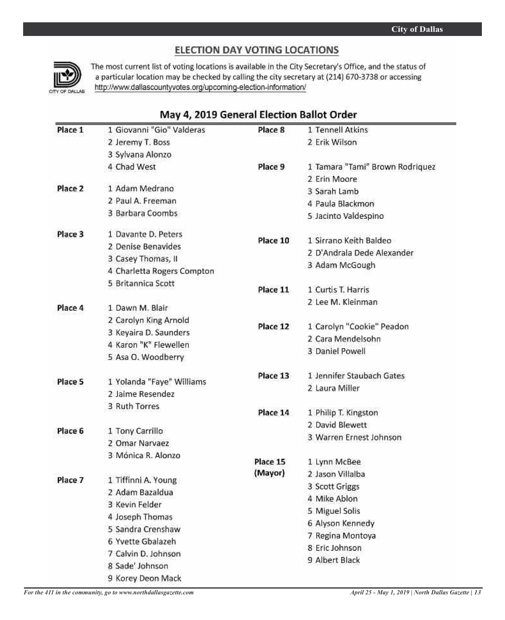# ELECTION DAY VOTING LOCATIONS



The most current list of voting locations is available in the City Secretary's Office, and the status of a particular location may be checked by calling the city secretary at (214) 670-3738 or accessing http://www.dallascountyvotes.org/upcoming-election-information/

# May 4, 2019 General Election Ballot Order

| Place 1 | 1 Giovanni "Gio" Valderas                     | Place 8  | 1 Tennell Atkins                |
|---------|-----------------------------------------------|----------|---------------------------------|
|         | 2 Jeremy T. Boss                              |          | 2 Erik Wilson                   |
|         | 3 Sylvana Alonzo                              |          |                                 |
|         | 4 Chad West                                   | Place 9  | 1 Tamara "Tami" Brown Rodriquez |
|         |                                               |          | 2 Erin Moore                    |
| Place 2 | 1 Adam Medrano                                |          | 3 Sarah Lamb                    |
|         | 2 Paul A. Freeman                             |          | 4 Paula Blackmon                |
|         | 3 Barbara Coombs                              |          | 5 Jacinto Valdespino            |
| Place 3 | 1 Davante D. Peters                           | Place 10 | 1 Sirrano Keith Baldeo          |
|         | 2 Denise Benavides                            |          |                                 |
|         | 3 Casey Thomas, II                            |          | 2 D'Andrala Dede Alexander      |
|         | 4 Charletta Rogers Compton                    |          | 3 Adam McGough                  |
|         | 5 Britannica Scott                            | Place 11 | 1 Curtis T. Harris              |
|         |                                               |          | 2 Lee M. Kleinman               |
| Place 4 | 1 Dawn M. Blair                               |          |                                 |
|         | 2 Carolyn King Arnold                         | Place 12 | 1 Carolyn "Cookie" Peadon       |
|         | 3 Keyaira D. Saunders                         |          | 2 Cara Mendelsohn               |
|         | 4 Karon "K" Flewellen                         |          | 3 Daniel Powell                 |
|         | 5 Asa O. Woodberry                            |          |                                 |
|         |                                               | Place 13 | 1 Jennifer Staubach Gates       |
| Place 5 | 1 Yolanda "Faye" Williams<br>2 Jaime Resendez |          | 2 Laura Miller                  |
|         | 3 Ruth Torres                                 |          |                                 |
|         |                                               | Place 14 | 1 Philip T. Kingston            |
|         |                                               |          | 2 David Blewett                 |
| Place 6 | 1 Tony Carrillo<br>2 Omar Narvaez             |          | 3 Warren Ernest Johnson         |
|         | 3 Mónica R. Alonzo                            |          |                                 |
|         |                                               | Place 15 | 1 Lynn McBee                    |
|         |                                               | (Mayor)  | 2 Jason Villalba                |
| Place 7 | 1 Tiffinni A. Young                           |          | 3 Scott Griggs                  |
|         | 2 Adam Bazaldua                               |          | 4 Mike Ablon                    |
|         | 3 Kevin Felder                                |          | 5 Miguel Solis                  |
|         | 4 Joseph Thomas                               |          | 6 Alyson Kennedy                |
|         | 5 Sandra Crenshaw                             |          | 7 Regina Montoya                |
|         | 6 Yvette Gbalazeh                             |          | 8 Eric Johnson                  |
|         | 7 Calvin D. Johnson                           |          | 9 Albert Black                  |
|         | 8 Sade' Johnson                               |          |                                 |
|         | 9 Korey Deon Mack                             |          |                                 |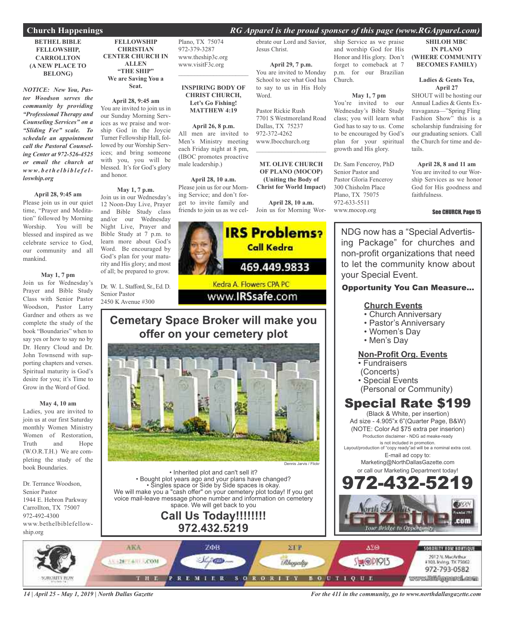# **Church Happenings** *RG Apparel is the proud sponser of this page (www.RGApparel.com)*

### **BETHEL BIBLE FELLOWSHIP, CARROLLTON (A NEW PLACE TO BELONG)**

*NOTICE: New You, Pastor Woodson serves the community by providing "Professional Therapy and Counseling Services" on a "Sliding Fee" scale. To schedule an appointment call the Pastoral Counseling Center at 972-526-4525 or email the church at www. b e t h e l b i b l e f e lloswhip.org*

### **April 28, 9:45 am**

Please join us in our quiet time, "Prayer and Meditation" followed by Morning Worship. You will be blessed and inspired as we celebrate service to God, our community and all mankind.

### **May 1, 7 pm**

Join us for Wednesday's Prayer and Bible Study Class with Senior Pastor Woodson, Pastor Larry Gardner and others as we complete the study of the book "Boundaries" when to say yes or how to say no by Dr. Henry Cloud and Dr. John Townsend with supporting chapters and verses. Spiritual maturity is God's desire for you; it's Time to Grow in the Word of God.

#### **May 4, 10 am**

Ladies, you are invited to join us at our first Saturday monthly Women Ministry Women of Restoration, Truth and Hope (W.O.R.T.H.) We are completing the study of the book Boundaries.

Dr. Terrance Woodson, Senior Pastor 1944 E. Hebron Parkway Carrollton, TX 75007 972-492-4300 www.bethelbiblefellowship.org

### **FELLOWSHIP CHRISTIAN CENTER CHURCH IN ALLEN "THE SHIP" We are Saving You a Seat.**

**April 28, 9:45 am** You are invited to join us in our Sunday Morning Services as we praise and worship God in the Joycie Turner Fellowship Hall, followed by our Worship Services; and bring someone with you, you will be blessed. It's for God's glory and honor.

# **May 1, 7 p.m.**

Join us in our Wednesday's 12 Noon-Day Live, Prayer and Bible Study class and/or our Wednesday Night Live, Prayer and Bible Study at 7 p.m. to learn more about God's Word. Be encouraged by God's plan for your maturity and His glory; and most of all; be prepared to grow.

Dr. W. L. Stafford, Sr., Ed. D. Senior Pastor 2450 K Avenue #300

Plano, TX 75074 972-379-3287 www.theship3c.org www.visitF3c.org

### **INSPIRING BODY OF CHRIST CHURCH, Let's Go Fishing! MATTHEW 4:19**

 $\overline{\phantom{a}}$  , and the set of the set of the set of the set of the set of the set of the set of the set of the set of the set of the set of the set of the set of the set of the set of the set of the set of the set of the s

#### **April 26, 8 p.m.**

All men are invited to Men's Ministry meeting each Friday night at 8 pm, (IBOC promotes proactive male leadership.)

#### **April 28, 10 a.m.**

Please join us for our Morning Service; and don't forget to invite family and friends to join us as we cel-Join us for Morning Wor-

ebrate our Lord and Savior, Jesus Christ.

**April 29, 7 p.m.** You are invited to Monday School to see what God has to say to us in His Holy Word.

Pastor Rickie Rush 7701 S Westmoreland Road Dallas, TX 75237 972-372-4262 www.Ibocchurch.org  $\mathcal{L}$  , and the set of the set of the set of the set of the set of the set of the set of the set of the set of the set of the set of the set of the set of the set of the set of the set of the set of the set of the set

**MT. OLIVE CHURCH OF PLANO (MOCOP) (Uniting the Body of Christ for World Impact)**

**April 28, 10 a.m.**



# www.**IRSsafe.com**

# **Cemetary Space Broker will make you offer on your cemetery plot**



• Inherited plot and can't sell it? • Bought plot years ago and your plans have changed? • Singles space or Side by Side spaces is okay. We will make you a "cash offer" on your cemetery plot today! If you get voice mail-leave message phone number and information on cemetery space. We will get back to you

# **Call Us Today!!!!!!!! 972.432.5219**

ship Service as we praise and worship God for His Honor and His glory. Don't forget to comeback at 7 p.m. for our Brazilian Church.

#### **May 1, 7 pm**

You're invited to our Wednesday's Bible Study class; you will learn what God has to say to us. Come to be encouraged by God's plan for your spiritual growth and His glory.

Dr. Sam Fenceroy, PhD Senior Pastor and Pastor Gloria Fenceroy 300 Chisholm Place Plano, TX 75075 972-633-5511 www.mocop.org

# **SHILOH MBC IN PLANO (WHERE COMMUNITY BECOMES FAMILY)**

#### **Ladies & Gents Tea, April 27**

SHOUT will be hosting our Annual Ladies & Gents Extravaganza—"Spring Fling Fashion Show" this is a scholarship fundraising for our graduating seniors. Call the Church for time and details.

#### **April 28, 8 and 11 am** You are invited to our Worship Services as we honor God for His goodness and faithfulness.

#### See CHURCH, Page 15

NDG now has a "Special Advertising Package" for churches and non-profit organizations that need to let the community know about your Special Event.

# Opportunity You Can Measure...

# **Church Events**

- Church Anniversary
- Pastor's Anniversary
- Women's Day
- Men's Day

# **Non-Profit Org. Events**

- Fundraisers
- (Concerts)
- Special Events
- (Personal or Community)

# Special Rate \$199

(Black & White, per insertion) Ad size - 4.905"x 6"(Quarter Page, B&W) (NOTE: Color Ad \$75 extra per inserion) Production disclaimer - NDG ad meake-ready is not included in promotion.

Layout/production of "copy ready"ad will be a nominal extra cost. E-mail ad copy to:

Marketing@NorthDallasGazette.com or call our Marketing Department today!





*14 | April 25 - May 1, 2019 | North Dallas Gazette*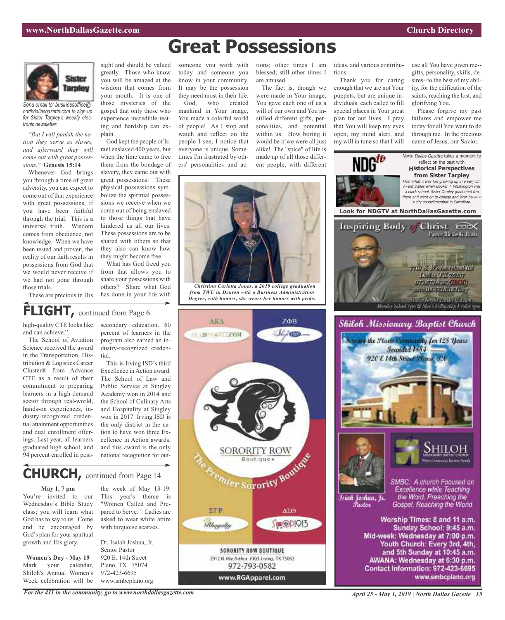

*Send email to: businessoffice@ northdallasgazette.com to sign up for Sister Tarpley's weekly electronic newsletter.*

*"But I will punish the nation they serve as slaves, and afterward they will come out with great possessions."* **Genesis 15:14**

Whenever God brings you through a time of great adversity, you can expect to come out of that experience with great possessions, if you have been faithful through the trial. This is a universal truth. Wisdom comes from obedience, not knowledge. When we have been tested and proven, the reality of our faith results in possessions from God that we would never receive if we had not gone through those trials.

sight and should be valued greatly. Those who know you will be amazed at the wisdom that comes from your mouth. It is one of those mysteries of the gospel that only those who experience incredible testing and hardship can explain.

God kept the people of Israel enslaved 400 years, but when the time came to free them from the bondage of slavery, they came out with great possessions. These physical possessions symbolize the spiritual possessions we receive when we come out of being enslaved to those things that have hindered us all our lives. These possessions are to be shared with others so that they also can know how they might become free.

What has God freed you from that allows you to share your possessions with others? Share what God has done in your life with

### someone you work with today and someone you know in your community. It may be the possession they need most in their life. God, who created mankind in Your image, You made a colorful world of people! As I stop and watch and reflect on the people I see, I notice that everyone is unique. Sometimes I'm frustrated by oth-

ers' personalities and ac-

blessed; still other times I am amused. The fact is, though we were made in Your image, You gave each one of us a will of our own and You instilled different gifts, personalities, and potential

within us. How boring it would be if we were all just alike! The "spice" of life is made up of all those different people, with different

tions; other times I am ideas, and various contributions.

> Thank you for caring enough that we are not Your puppets, but are unique individuals, each called to fill special places in Your great plan for our lives. I pray that You will keep my eyes open, my mind alert, and my will in tune so that I will

use all You have given me- gifts, personality, skills, desires--to the best of my ability, for the edification of the saints, reaching the lost, and glorifying You.

Please forgive my past failures and empower me today for all You want to do through me. In the precious name of Jesus, our Savior.





**Great Possessions**

*Christina Carletta Jones, a 2019 college graduation from TWU in Denton with a Business Administration Degree, with honors, she wears her honors with pride.*



**SORORITY ROW BOUTIQUE** 2912 N. MacArthur #103. Irving, TX 75062 972-793-0582

www.RGApparel.com

# FLIGHT, continued from Page 6

high-quality CTE looks like and can achieve."

These are precious in His

The School of Aviation Science received the award in the Transportation, Distribution & Logistics Career Cluster® from Advance CTE as a result of their commitment to preparing learners in a high-demand sector through real-world, hands-on experiences, industry-recognized credential attainment opportunities and dual enrollment offerings. Last year, all learners graduated high school, and 94 percent enrolled in postsecondary education. 60 percent of learners in the program also earned an industry-recognized credential.

This is Irving ISD's third Excellence in Action award. The School of Law and Public Service at Singley Academy won in 2014 and the School of Culinary Arts and Hospitality at Singley won in 2017. Irving ISD is the only district in the nation to have won three Excellence in Action awards, and this award is the only national recognition for out-

# **CHURCH,** continued from Page <sup>14</sup>

#### **May 1, 7 pm**

You're invited to our Wednesday's Bible Study class; you will learn what God has to say to us. Come and be encouraged by God's plan for your spiritual growth and His glory.

**Women's Day - May 19** Mark your calendar, Shiloh's Annual Women's Week celebration will be

the week of May 13-19. This year's theme is "Women Called and Prepared to Serve." Ladies are asked to wear white attire with turquoise scarves.

Dr. Isaiah Joshua, Jr. Senior Pastor 920 E. 14th Street Plano, TX 75074 972-423-6695 www.smbcplano.org

*For the 411 in the community, go to www.northdallasgazette.com*

*April 25 - May 1, 2019 | North Dallas Gazette | 15*